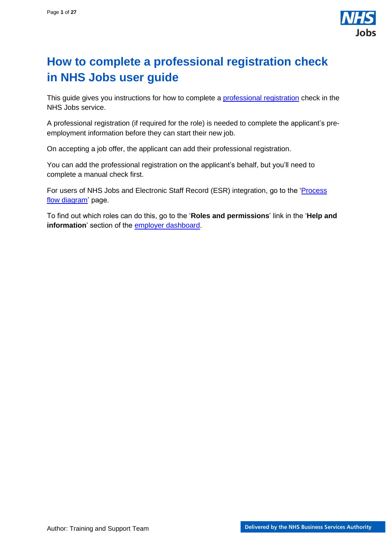

## <span id="page-0-0"></span>**How to complete a professional registration check in NHS Jobs user guide**

This guide gives you instructions for how to complete a [professional registration](https://www.nhsemployers.org/publications/professional-registration-and-qualification-checks) check in the NHS Jobs service.

A professional registration (if required for the role) is needed to complete the applicant's preemployment information before they can start their new job.

On accepting a job offer, the applicant can add their professional registration.

You can add the professional registration on the applicant's behalf, but you'll need to complete a manual check first.

For users of NHS Jobs and Electronic Staff Record (ESR) integration, go to the '*Process* [flow diagram'](#page-2-0) page.

To find out which roles can do this, go to the '**Roles and permissions**' link in the '**Help and information**' section of the [employer dashboard.](https://beta.jobs.nhs.uk/home)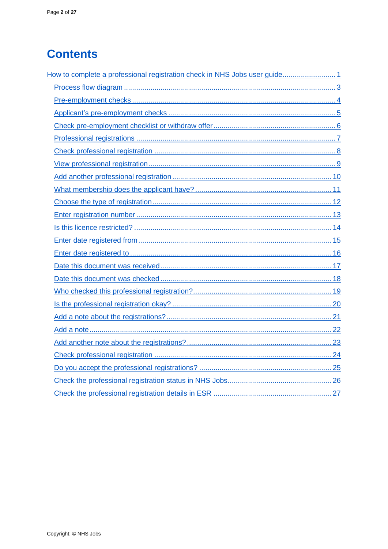# **Contents**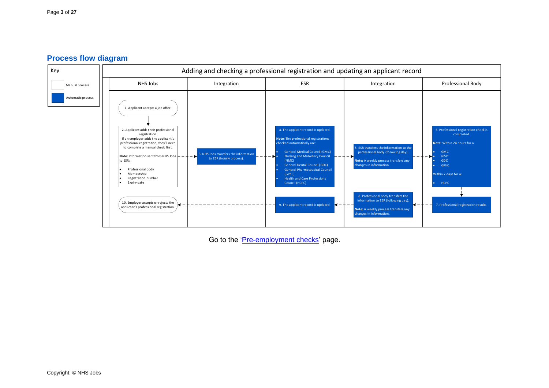#### **Process flow diagram**

<span id="page-2-0"></span>

Go to the ['Pre-employment checks'](#page-3-1) page.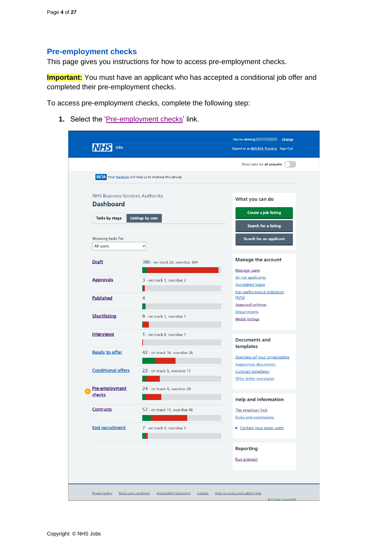## <span id="page-3-1"></span><span id="page-3-0"></span>**Pre-employment checks**

This page gives you instructions for how to access pre-employment checks.

**Important:** You must have an applicant who has accepted a conditional job offer and completed their pre-employment checks.

To access pre-employment checks, complete the following step:

1. Select the ['Pre-employment checks'](#page-4-0) link.

| Jobs                                                       |                                                                 | Signed in as NHS BSA Training Sign Out                           |
|------------------------------------------------------------|-----------------------------------------------------------------|------------------------------------------------------------------|
|                                                            |                                                                 | Show tasks for all accounts                                      |
|                                                            | <b>BETA</b> Your feedback will help us to improve this service. |                                                                  |
| <b>NHS Business Services Authority</b><br><b>Dashboard</b> |                                                                 | What you can do                                                  |
| Tasks by stage                                             | <b>Listings by user</b>                                         | Create a job listing                                             |
|                                                            |                                                                 | Search for a listing                                             |
| Showing tasks for<br>All users                             |                                                                 | Search for an applicant                                          |
|                                                            | $\check{~}$                                                     |                                                                  |
| <b>Draft</b>                                               | 386 - on track 22, overdue 364                                  | <b>Manage the account</b>                                        |
| <b>Approvals</b>                                           | 3 - on track 1, overdue 2                                       | Manage users<br>At risk applicants<br><b>Accredited logos</b>    |
| <b>Published</b>                                           | 4                                                               | <b>Key performance indicators</b><br>(KPIs)                      |
| <b>Shortlisting</b>                                        | 8 - on track 1, overdue 7                                       | <b>Approval settings</b><br>Departments<br><b>Welsh listings</b> |
| <b>Interviews</b>                                          | 1 - on track 0, overdue 1                                       |                                                                  |
|                                                            |                                                                 | <b>Documents and</b><br>templates                                |
| <b>Ready to offer</b>                                      | 42 - on track 16, overdue 26                                    | Overview of your organisation<br><b>Supporting documents</b>     |
| <b>Conditional offers</b>                                  | 22 - on track 5, overdue 17                                     | <b>Contract templates</b><br>Offer letter templates              |
| Pre-employment<br>checks                                   | 24 - on track 4, overdue 20                                     | <b>Help and information</b>                                      |
| <b>Contracts</b>                                           | 57 - on track 11, overdue 46                                    | The employer hub<br>Roles and permissions                        |
| <b>End recruitment</b>                                     | 7 - on track 4, overdue 3                                       | Contact your super users                                         |
|                                                            |                                                                 | <b>Reporting</b>                                                 |
|                                                            |                                                                 | Run a report                                                     |
|                                                            |                                                                 |                                                                  |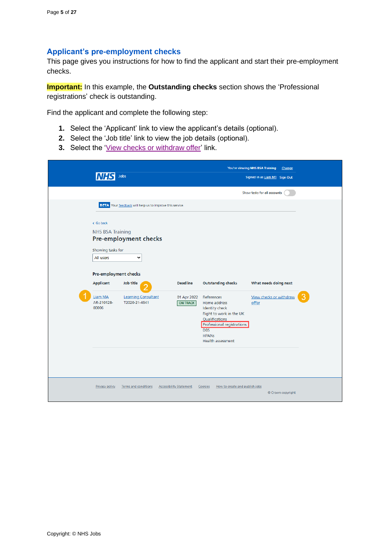#### <span id="page-4-0"></span>**Applicant's pre-employment checks**

This page gives you instructions for how to find the applicant and start their pre-employment checks.

**Important:** In this example, the **Outstanding checks** section shows the 'Professional registrations' check is outstanding.

Find the applicant and complete the following step:

- **1.** Select the 'Applicant' link to view the applicant's details (optional).
- **2.** Select the 'Job title' link to view the job details (optional).
- **3.** Select the ['View checks or withdraw offer'](#page-5-0) link.

|                                                                                                                                                | Jobs                                                                                                                                                      |                                                   |                                                                                                                                                                                                                       | You're viewing NHS BSA Training<br>Change<br>Signed in as Liam M1 Sign Out |  |
|------------------------------------------------------------------------------------------------------------------------------------------------|-----------------------------------------------------------------------------------------------------------------------------------------------------------|---------------------------------------------------|-----------------------------------------------------------------------------------------------------------------------------------------------------------------------------------------------------------------------|----------------------------------------------------------------------------|--|
|                                                                                                                                                |                                                                                                                                                           |                                                   |                                                                                                                                                                                                                       | Show tasks for all accounts                                                |  |
| < Go back<br><b>NHS BSA Training</b><br>Showing tasks for<br>All users<br>Pre-employment checks<br>Applicant<br>Liam MA<br>AR-210128-<br>00006 | BETA Your feedback will help us to improve this service.<br><b>Pre-employment checks</b><br>v<br>Job title<br><b>Learning Consultant</b><br>T2020-21-4641 | <b>Deadline</b><br>01 Apr 2022<br><b>ON TRACK</b> | <b>Outstanding checks</b><br>References<br>Home address<br><b>Identity check</b><br>Right to work in the UK<br>Qualifications<br><b>Professional registrations</b><br><b>DBS</b><br><b>HPANS</b><br>Health assessment | What needs doing next<br>View checks or withdraw<br>offer                  |  |
| <b>Privacy policy</b>                                                                                                                          | <b>Terms and conditions</b>                                                                                                                               | <b>Accessibility Statement</b>                    | Cookies<br>How to create and publish jobs                                                                                                                                                                             | © Crown copyright                                                          |  |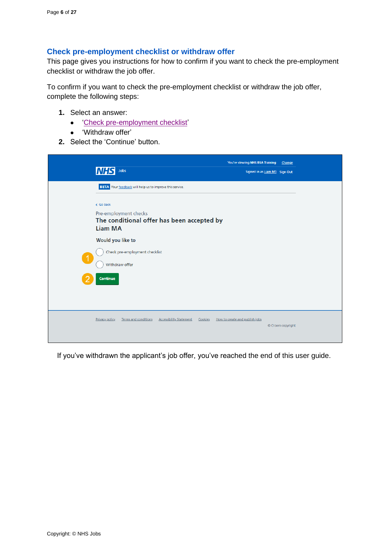#### <span id="page-5-0"></span>**Check pre-employment checklist or withdraw offer**

This page gives you instructions for how to confirm if you want to check the pre-employment checklist or withdraw the job offer.

To confirm if you want to check the pre-employment checklist or withdraw the job offer, complete the following steps:

- **1.** Select an answer:
	- ['Check pre-employment checklist'](#page-6-0)
	- 'Withdraw offer'
- **2.** Select the 'Continue' button.

|                      | Jobs<br><b>INHS</b>                                                                        | You're viewing NHS BSA Training<br>Signed in as Liam M1 Sign Out | Change            |
|----------------------|--------------------------------------------------------------------------------------------|------------------------------------------------------------------|-------------------|
|                      | BETA Your feedback will help us to improve this service.<br>< Go back                      |                                                                  |                   |
|                      | Pre-employment checks<br>The conditional offer has been accepted by<br><b>Liam MA</b>      |                                                                  |                   |
| $\blacktriangleleft$ | Would you like to<br>Check pre-employment checklist<br>Withdraw offer                      |                                                                  |                   |
|                      | Continue                                                                                   |                                                                  |                   |
|                      | <b>Terms and conditions</b><br><b>Accessibility Statement</b><br>Privacy policy<br>Cookies | How to create and publish jobs                                   | © Crown copyright |

If you've withdrawn the applicant's job offer, you've reached the end of this user guide.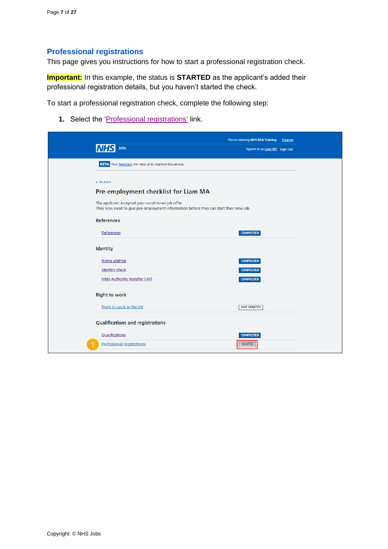## <span id="page-6-0"></span>**Professional registrations**

This page gives you instructions for how to start a professional registration check.

**Important:** In this example, the status is **STARTED** as the applicant's added their professional registration details, but you haven't started the check.

To start a professional registration check, complete the following step:

1. Select the '*Professional registrations'* link.

|                                                                                                                                             | You're viewing NHS BSA Training Change |  |
|---------------------------------------------------------------------------------------------------------------------------------------------|----------------------------------------|--|
| Jobs                                                                                                                                        | Signed in as Liam M1 Sign Out          |  |
| <b>BETA</b> Your feedback will help us to improve this service.                                                                             |                                        |  |
| < Go back                                                                                                                                   |                                        |  |
| Pre-employment checklist for Liam MA                                                                                                        |                                        |  |
| The applicant accepted your conditional job offer.<br>They now need to give pre-employment information before they can start their new job. |                                        |  |
| <b>References</b>                                                                                                                           |                                        |  |
| References                                                                                                                                  | <b>COMPLETED</b>                       |  |
| <b>Identity</b>                                                                                                                             |                                        |  |
| Home address                                                                                                                                | <b>COMPLETED</b>                       |  |
| <b>Identity check</b>                                                                                                                       | <b>COMPLETED</b>                       |  |
| <b>Inter Authority Transfer (IAT)</b>                                                                                                       | <b>COMPLETED</b>                       |  |
| <b>Right to work</b>                                                                                                                        |                                        |  |
| Right to work in the UK                                                                                                                     | <b>NOT STARTED</b>                     |  |
| <b>Qualifications and registrations</b>                                                                                                     |                                        |  |
| Qualifications                                                                                                                              | <b>COMPLETED</b>                       |  |
| <b>Professional registrations</b>                                                                                                           | <b>STARTED</b>                         |  |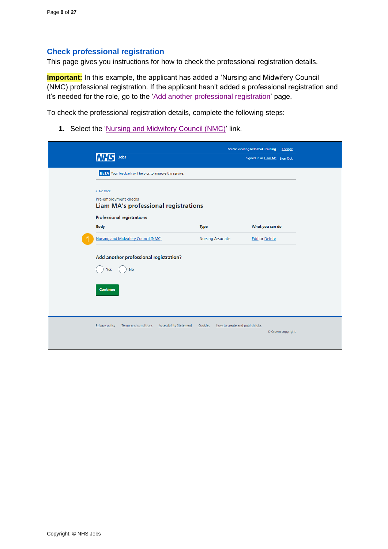#### <span id="page-7-0"></span>**Check professional registration**

This page gives you instructions for how to check the professional registration details.

**Important:** In this example, the applicant has added a 'Nursing and Midwifery Council (NMC) professional registration. If the applicant hasn't added a professional registration and it's needed for the role, go to the ['Add another professional registration'](#page-9-0) page.

To check the professional registration details, complete the following steps:

**1.** Select the ['Nursing and Midwifery Council \(NMC\)'](#page-8-0) link.

|                                                                                 |                                           | You're viewing NHS BSA Training | Change            |
|---------------------------------------------------------------------------------|-------------------------------------------|---------------------------------|-------------------|
| Jobs<br>IN HS                                                                   |                                           | Signed in as Liam M1 Sign Out   |                   |
| <b>BETA</b> Your feedback will help us to improve this service.                 |                                           |                                 |                   |
|                                                                                 |                                           |                                 |                   |
| < Go back                                                                       |                                           |                                 |                   |
| Pre-employment checks<br><b>Liam MA's professional registrations</b>            |                                           |                                 |                   |
|                                                                                 |                                           |                                 |                   |
| <b>Professional registrations</b>                                               |                                           |                                 |                   |
| <b>Body</b>                                                                     | <b>Type</b>                               | What you can do                 |                   |
| Nursing and Midwifery Council (NMC)                                             | <b>Nursing Associate</b>                  | <b>Edit or Delete</b>           |                   |
| Add another professional registration?                                          |                                           |                                 |                   |
| <b>No</b><br>Yes                                                                |                                           |                                 |                   |
|                                                                                 |                                           |                                 |                   |
| Continue                                                                        |                                           |                                 |                   |
|                                                                                 |                                           |                                 |                   |
|                                                                                 |                                           |                                 |                   |
|                                                                                 |                                           |                                 |                   |
| <b>Privacy policy</b><br>Terms and conditions<br><b>Accessibility Statement</b> | Cookies<br>How to create and publish jobs |                                 |                   |
|                                                                                 |                                           |                                 | © Crown copyright |
|                                                                                 |                                           |                                 |                   |
|                                                                                 |                                           |                                 |                   |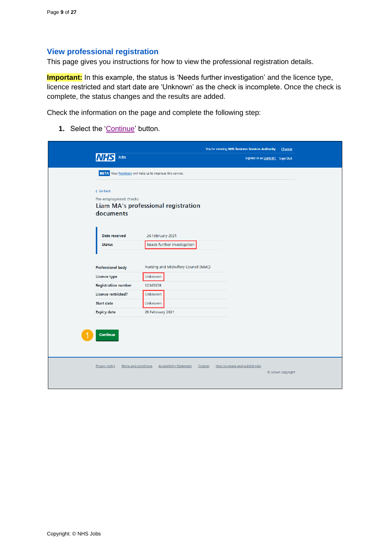#### <span id="page-8-0"></span>**View professional registration**

This page gives you instructions for how to view the professional registration details.

**Important:** In this example, the status is 'Needs further investigation' and the licence type, licence restricted and start date are 'Unknown' as the check is incomplete. Once the check is complete, the status changes and the results are added.

Check the information on the page and complete the following step:

1. Select the ['Continue'](#page-9-0) button.

| Jobs<br>Signed in as Liam M1 Sign Out<br><b>BETA</b> Your feedback will help us to improve this service.<br>< Go back<br>Pre-employment checks<br>Liam MA's professional registration<br>documents<br>Date received<br>26 February 2021<br>Needs further investigation<br><b>Status</b><br>Nursing and Midwifery Council (NMC)<br><b>Professional body</b><br>Licence type<br>Unknown<br><b>Registration number</b><br>12345678<br>Unknown<br><b>Licence restricted?</b><br><b>Start date</b><br>Unknown | <b>Expiry date</b><br>28 February 2021<br>Continue |  |  | You're viewing NHS Business Services Authority Change |  |  |
|----------------------------------------------------------------------------------------------------------------------------------------------------------------------------------------------------------------------------------------------------------------------------------------------------------------------------------------------------------------------------------------------------------------------------------------------------------------------------------------------------------|----------------------------------------------------|--|--|-------------------------------------------------------|--|--|
|                                                                                                                                                                                                                                                                                                                                                                                                                                                                                                          |                                                    |  |  |                                                       |  |  |
|                                                                                                                                                                                                                                                                                                                                                                                                                                                                                                          |                                                    |  |  |                                                       |  |  |
|                                                                                                                                                                                                                                                                                                                                                                                                                                                                                                          |                                                    |  |  |                                                       |  |  |
|                                                                                                                                                                                                                                                                                                                                                                                                                                                                                                          |                                                    |  |  |                                                       |  |  |
|                                                                                                                                                                                                                                                                                                                                                                                                                                                                                                          |                                                    |  |  |                                                       |  |  |
|                                                                                                                                                                                                                                                                                                                                                                                                                                                                                                          |                                                    |  |  |                                                       |  |  |
|                                                                                                                                                                                                                                                                                                                                                                                                                                                                                                          |                                                    |  |  |                                                       |  |  |
|                                                                                                                                                                                                                                                                                                                                                                                                                                                                                                          |                                                    |  |  |                                                       |  |  |
|                                                                                                                                                                                                                                                                                                                                                                                                                                                                                                          |                                                    |  |  |                                                       |  |  |
|                                                                                                                                                                                                                                                                                                                                                                                                                                                                                                          |                                                    |  |  |                                                       |  |  |
|                                                                                                                                                                                                                                                                                                                                                                                                                                                                                                          |                                                    |  |  |                                                       |  |  |
|                                                                                                                                                                                                                                                                                                                                                                                                                                                                                                          |                                                    |  |  |                                                       |  |  |
|                                                                                                                                                                                                                                                                                                                                                                                                                                                                                                          |                                                    |  |  |                                                       |  |  |
|                                                                                                                                                                                                                                                                                                                                                                                                                                                                                                          |                                                    |  |  |                                                       |  |  |
|                                                                                                                                                                                                                                                                                                                                                                                                                                                                                                          |                                                    |  |  |                                                       |  |  |
|                                                                                                                                                                                                                                                                                                                                                                                                                                                                                                          |                                                    |  |  |                                                       |  |  |
|                                                                                                                                                                                                                                                                                                                                                                                                                                                                                                          |                                                    |  |  |                                                       |  |  |
|                                                                                                                                                                                                                                                                                                                                                                                                                                                                                                          |                                                    |  |  |                                                       |  |  |
| Terms and conditions<br><b>Accessibility Statement</b><br>Cookies How to create and publish jobs<br><b>Privacy policy</b><br>© Crown copyright                                                                                                                                                                                                                                                                                                                                                           |                                                    |  |  |                                                       |  |  |
|                                                                                                                                                                                                                                                                                                                                                                                                                                                                                                          |                                                    |  |  |                                                       |  |  |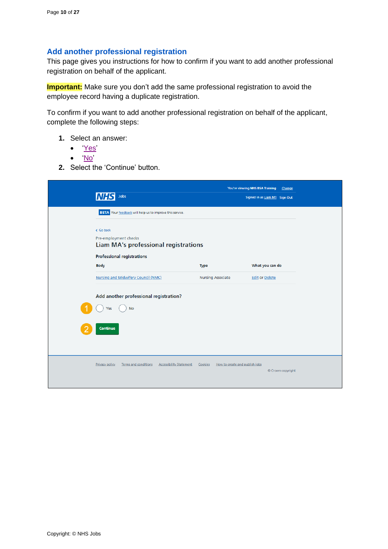#### <span id="page-9-0"></span>**Add another professional registration**

This page gives you instructions for how to confirm if you want to add another professional registration on behalf of the applicant.

**Important:** Make sure you don't add the same professional registration to avoid the employee record having a duplicate registration.

To confirm if you want to add another professional registration on behalf of the applicant, complete the following steps:

- **1.** Select an answer:
	- ['Yes'](#page-10-0)
	- ['No'](#page-24-0)
- **2.** Select the 'Continue' button.

|                                                                                        |                                           | You're viewing NHS BSA Training<br><b>Change</b> |
|----------------------------------------------------------------------------------------|-------------------------------------------|--------------------------------------------------|
| Jobs                                                                                   |                                           | Signed in as Liam M1 Sign Out                    |
| <b>BETA</b> Your feedback will help us to improve this service.                        |                                           |                                                  |
| < Go back                                                                              |                                           |                                                  |
| Pre-employment checks                                                                  |                                           |                                                  |
| Liam MA's professional registrations                                                   |                                           |                                                  |
| Professional registrations                                                             |                                           |                                                  |
| <b>Body</b>                                                                            | Type                                      | What you can do                                  |
| Nursing and Midwifery Council (NMC)                                                    | <b>Nursing Associate</b>                  | <b>Edit or Delete</b>                            |
| Add another professional registration?                                                 |                                           |                                                  |
| <b>No</b><br>Yes                                                                       |                                           |                                                  |
|                                                                                        |                                           |                                                  |
| Continue                                                                               |                                           |                                                  |
|                                                                                        |                                           |                                                  |
|                                                                                        |                                           |                                                  |
|                                                                                        |                                           |                                                  |
| <b>Terms and conditions</b><br><b>Privacy policy</b><br><b>Accessibility Statement</b> | Cookies<br>How to create and publish jobs |                                                  |
|                                                                                        |                                           | © Crown copyright                                |
|                                                                                        |                                           |                                                  |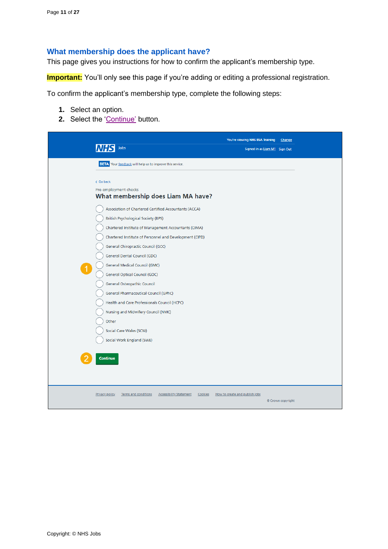## <span id="page-10-0"></span>**What membership does the applicant have?**

This page gives you instructions for how to confirm the applicant's membership type.

**Important:** You'll only see this page if you're adding or editing a professional registration.

To confirm the applicant's membership type, complete the following steps:

- **1.** Select an option.
- **2.** Select the ['Continue'](#page-11-0) button.

|                                                                                            | You're viewing NHS BSA Training Change |                   |
|--------------------------------------------------------------------------------------------|----------------------------------------|-------------------|
| Jobs                                                                                       | Signed in as Liam M1 Sign Out          |                   |
| BETA Your feedback will help us to improve this service.                                   |                                        |                   |
|                                                                                            |                                        |                   |
| < Go back                                                                                  |                                        |                   |
| Pre-employment checks                                                                      |                                        |                   |
| What membership does Liam MA have?                                                         |                                        |                   |
| Association of Chartered Certified Accountants (ACCA)                                      |                                        |                   |
| <b>British Psychological Society (BPS)</b>                                                 |                                        |                   |
| Chartered Institute of Management Accountants (CIMA)                                       |                                        |                   |
| Chartered Institute of Personnel and Development (CIPD)                                    |                                        |                   |
| General Chiropractic Council (GCC)                                                         |                                        |                   |
| General Dental Council (GDC)                                                               |                                        |                   |
| General Medical Council (GMC)                                                              |                                        |                   |
| General Optical Council (GOC)                                                              |                                        |                   |
| General Osteopathic Council                                                                |                                        |                   |
| General Pharmaceutical Council (GPhC)                                                      |                                        |                   |
| Health and Care Professionals Council (HCPC)                                               |                                        |                   |
| Nursing and Midwifery Council (NMC)                                                        |                                        |                   |
| Other                                                                                      |                                        |                   |
| Social Care Wales (SCW)                                                                    |                                        |                   |
| Social Work England (SWE)                                                                  |                                        |                   |
|                                                                                            |                                        |                   |
| Continue                                                                                   |                                        |                   |
|                                                                                            |                                        |                   |
|                                                                                            |                                        |                   |
| <b>Privacy policy</b><br>Terms and conditions<br><b>Accessibility Statement</b><br>Cookies | How to create and publish jobs         |                   |
|                                                                                            |                                        | © Crown copyright |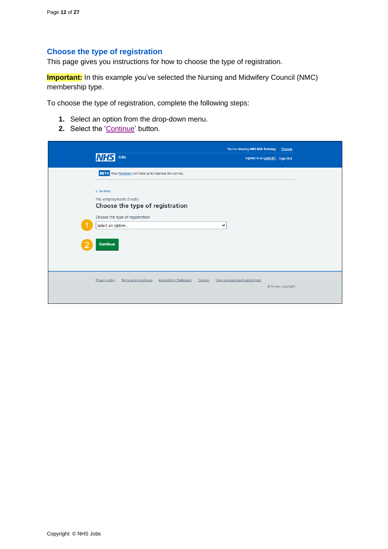## <span id="page-11-0"></span>**Choose the type of registration**

This page gives you instructions for how to choose the type of registration.

**Important:** In this example you've selected the Nursing and Midwifery Council (NMC) membership type.

To choose the type of registration, complete the following steps:

- **1.** Select an option from the drop-down menu.
- **2.** Select the ['Continue'](#page-12-0) button.

| Jobs<br><b>INHS</b>                                                                                   | You're viewing NHS BSA Training           | Change<br>Signed in as Liam M1 Sign Out |  |
|-------------------------------------------------------------------------------------------------------|-------------------------------------------|-----------------------------------------|--|
| <b>BETA</b> Your feedback will help us to improve this service.<br>< Go back<br>Pre-employment checks |                                           |                                         |  |
| Choose the type of registration<br>Choose the type of registration<br>Select an option                | v                                         |                                         |  |
| Continue                                                                                              |                                           |                                         |  |
| <b>Privacy policy</b><br>Terms and conditions<br><b>Accessibility Statement</b>                       | How to create and publish jobs<br>Cookies | © Crown copyright                       |  |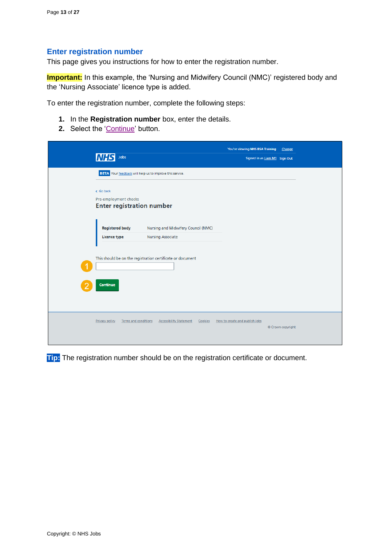#### <span id="page-12-0"></span>**Enter registration number**

This page gives you instructions for how to enter the registration number.

**Important:** In this example, the 'Nursing and Midwifery Council (NMC)' registered body and the 'Nursing Associate' licence type is added.

To enter the registration number, complete the following steps:

- **1.** In the **Registration number** box, enter the details.
- 2. Select the ['Continue'](#page-13-0) button.

|                                                                                     | You're viewing NHS BSA Training Change |                   |
|-------------------------------------------------------------------------------------|----------------------------------------|-------------------|
| Jobs<br>INHS                                                                        | Signed in as Liam M1 Sign Out          |                   |
| BETA Your feedback will help us to improve this service.                            |                                        |                   |
| < Go back                                                                           |                                        |                   |
| Pre-employment checks                                                               |                                        |                   |
| <b>Enter registration number</b>                                                    |                                        |                   |
|                                                                                     |                                        |                   |
| Nursing and Midwifery Council (NMC)<br><b>Registered body</b>                       |                                        |                   |
| <b>Nursing Associate</b><br><b>Licence type</b>                                     |                                        |                   |
|                                                                                     |                                        |                   |
| This should be on the registration certificate or document                          |                                        |                   |
|                                                                                     |                                        |                   |
| Continue                                                                            |                                        |                   |
|                                                                                     |                                        |                   |
|                                                                                     |                                        |                   |
|                                                                                     |                                        |                   |
| Privacy policy<br>Terms and conditions<br><b>Accessibility Statement</b><br>Cookies | How to create and publish jobs         |                   |
|                                                                                     |                                        | © Crown copyright |
|                                                                                     |                                        |                   |

**Tip:** The registration number should be on the registration certificate or document.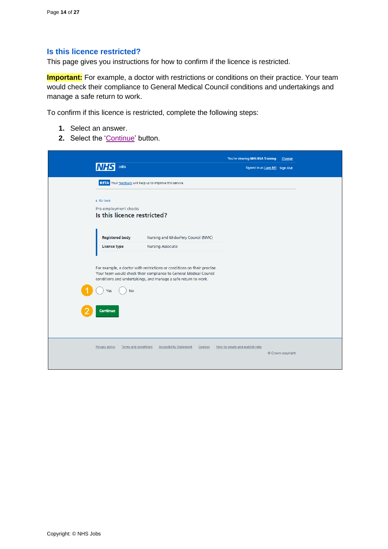#### <span id="page-13-0"></span>**Is this licence restricted?**

This page gives you instructions for how to confirm if the licence is restricted.

**Important:** For example, a doctor with restrictions or conditions on their practice. Your team would check their compliance to General Medical Council conditions and undertakings and manage a safe return to work.

To confirm if this licence is restricted, complete the following steps:

- **1.** Select an answer.
- 2. Select the ['Continue'](#page-14-0) button.

| Jobs                                   |                                                                                                                                                                                                                              | You're viewing NHS BSA Training<br>Signed in as Liam M1 Sign Out | Change            |
|----------------------------------------|------------------------------------------------------------------------------------------------------------------------------------------------------------------------------------------------------------------------------|------------------------------------------------------------------|-------------------|
|                                        | <b>BETA</b> Your feedback will help us to improve this service.                                                                                                                                                              |                                                                  |                   |
| < Go back<br>Pre-employment checks     | Is this licence restricted?                                                                                                                                                                                                  |                                                                  |                   |
| <b>Registered body</b><br>Licence type | Nursing and Midwifery Council (NMC)<br><b>Nursing Associate</b>                                                                                                                                                              |                                                                  |                   |
|                                        | For example, a doctor with restrictions or conditions on their practise.<br>Your team would check their compliance to General Medical Council<br>conditions and undertakings, and manage a safe return to work.<br><b>No</b> |                                                                  |                   |
| Continue                               |                                                                                                                                                                                                                              |                                                                  |                   |
| Privacy policy                         | Terms and conditions<br><b>Accessibility Statement</b><br>Cookies                                                                                                                                                            | How to create and publish jobs                                   | © Crown copyright |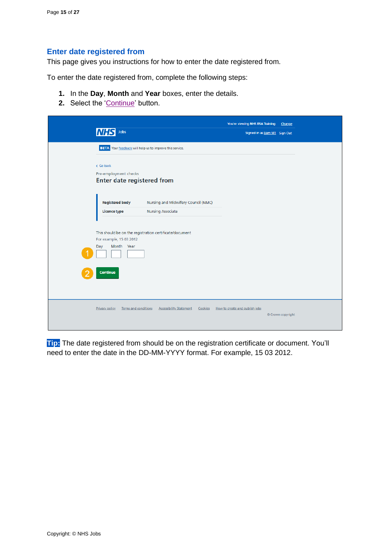#### <span id="page-14-0"></span>**Enter date registered from**

This page gives you instructions for how to enter the date registered from.

To enter the date registered from, complete the following steps:

- **1.** In the **Day**, **Month** and **Year** boxes, enter the details.
- 2. Select the ['Continue'](#page-15-0) button.

| Jobs<br><b>NHS</b>                                                      |                                                         | You're viewing NHS BSA Training<br>Signed in as Liam M1 Sign Out | Change            |
|-------------------------------------------------------------------------|---------------------------------------------------------|------------------------------------------------------------------|-------------------|
| <b>BETA</b> Your feedback will help us to improve this service.         |                                                         |                                                                  |                   |
| < Go back<br>Pre-employment checks<br><b>Enter date registered from</b> |                                                         |                                                                  |                   |
| <b>Registered body</b>                                                  | Nursing and Midwifery Council (NMC)                     |                                                                  |                   |
| Licence type                                                            | <b>Nursing Associate</b>                                |                                                                  |                   |
| For example, 15 03 2012                                                 | This should be on the registration certificate/document |                                                                  |                   |
| Month Year<br>Day                                                       |                                                         |                                                                  |                   |
| Continue                                                                |                                                         |                                                                  |                   |
|                                                                         |                                                         |                                                                  |                   |
| Terms and conditions<br><b>Privacy policy</b>                           | <b>Accessibility Statement</b><br>Cookies               | How to create and publish jobs                                   | © Crown copyright |

**Tip:** The date registered from should be on the registration certificate or document. You'll need to enter the date in the DD-MM-YYYY format. For example, 15 03 2012.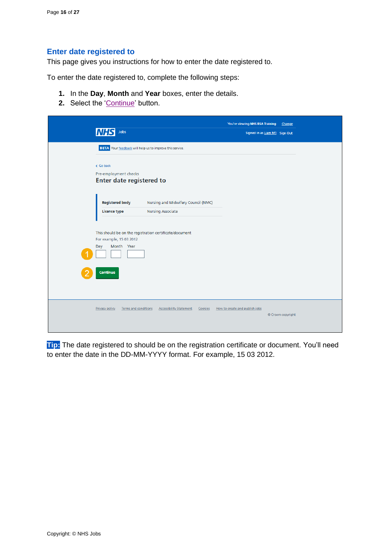#### <span id="page-15-0"></span>**Enter date registered to**

This page gives you instructions for how to enter the date registered to.

To enter the date registered to, complete the following steps:

- **1.** In the **Day**, **Month** and **Year** boxes, enter the details.
- 2. Select the ['Continue'](#page-16-0) button.

| Jobs<br><b>NHS</b>                                                                                                  |                                     |         | You're viewing NHS BSA Training<br>Signed in as Liam M1 Sign Out | Change            |  |
|---------------------------------------------------------------------------------------------------------------------|-------------------------------------|---------|------------------------------------------------------------------|-------------------|--|
| BETA Your feedback will help us to improve this service.                                                            |                                     |         |                                                                  |                   |  |
| < Go back<br>Pre-employment checks<br>Enter date registered to                                                      |                                     |         |                                                                  |                   |  |
| <b>Registered body</b>                                                                                              | Nursing and Midwifery Council (NMC) |         |                                                                  |                   |  |
| <b>Licence type</b>                                                                                                 | <b>Nursing Associate</b>            |         |                                                                  |                   |  |
| This should be on the registration certificate/document<br>For example, 15 03 2012<br>Month Year<br>Day<br>Continue |                                     |         |                                                                  |                   |  |
| Privacy policy<br>Terms and conditions                                                                              | <b>Accessibility Statement</b>      | Cookies | How to create and publish jobs                                   | © Crown copyright |  |

**Tip:** The date registered to should be on the registration certificate or document. You'll need to enter the date in the DD-MM-YYYY format. For example, 15 03 2012.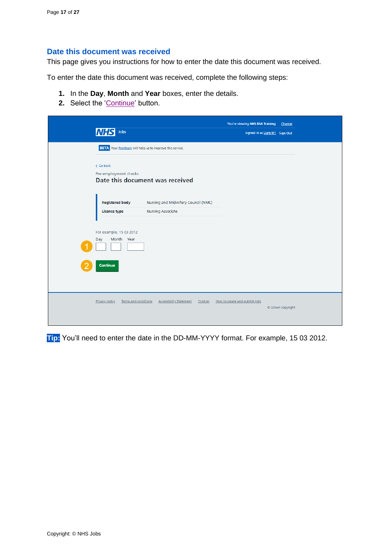#### <span id="page-16-0"></span>**Date this document was received**

This page gives you instructions for how to enter the date this document was received.

To enter the date this document was received, complete the following steps:

- **1.** In the **Day**, **Month** and **Year** boxes, enter the details.
- 2. Select the ['Continue'](#page-17-0) button.

| <b>BETA</b> Your feedback will help us to improve this service.<br>< Go back<br>Pre-employment checks<br>Date this document was received<br>Nursing and Midwifery Council (NMC)<br><b>Registered body</b><br><b>Nursing Associate</b><br><b>Licence type</b><br>For example, 15 03 2012<br>Month Year<br>Day<br>Continue |
|--------------------------------------------------------------------------------------------------------------------------------------------------------------------------------------------------------------------------------------------------------------------------------------------------------------------------|
|                                                                                                                                                                                                                                                                                                                          |
|                                                                                                                                                                                                                                                                                                                          |
|                                                                                                                                                                                                                                                                                                                          |
|                                                                                                                                                                                                                                                                                                                          |

**Tip:** You'll need to enter the date in the DD-MM-YYYY format. For example, 15 03 2012.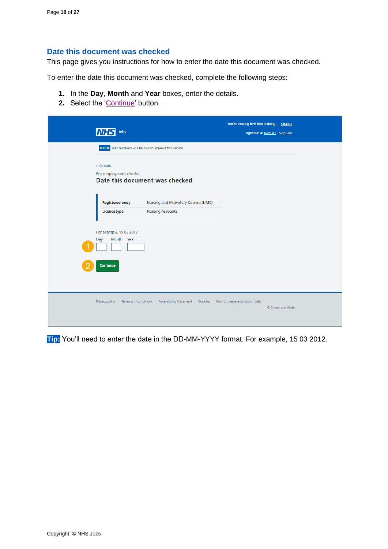#### <span id="page-17-0"></span>**Date this document was checked**

This page gives you instructions for how to enter the date this document was checked.

To enter the date this document was checked, complete the following steps:

- **1.** In the **Day**, **Month** and **Year** boxes, enter the details.
- 2. Select the ['Continue'](#page-18-0) button.

| <b>NHS</b><br>Jobs                                                       |                                     | You're viewing NHS BSA Training<br>Signed in as Liam M1 Sign Out | Change            |
|--------------------------------------------------------------------------|-------------------------------------|------------------------------------------------------------------|-------------------|
| <b>BETA</b> Your feedback will help us to improve this service.          |                                     |                                                                  |                   |
| < Go back<br>Pre-employment checks<br>Date this document was checked     |                                     |                                                                  |                   |
| <b>Registered body</b><br><b>Nursing Associate</b><br>Licence type       | Nursing and Midwifery Council (NMC) |                                                                  |                   |
| For example, 15 03 2012<br>Month Year<br>Day                             |                                     |                                                                  |                   |
| Continue                                                                 |                                     |                                                                  |                   |
| Privacy policy<br>Terms and conditions<br><b>Accessibility Statement</b> | Cookies                             | How to create and publish jobs                                   | © Crown copyright |

**Tip:** You'll need to enter the date in the DD-MM-YYYY format. For example, 15 03 2012.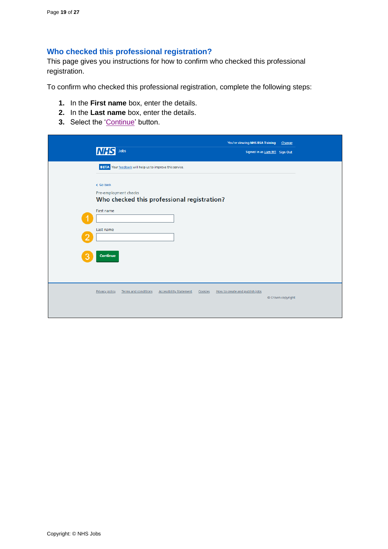## <span id="page-18-0"></span>**Who checked this professional registration?**

This page gives you instructions for how to confirm who checked this professional registration.

To confirm who checked this professional registration, complete the following steps:

- **1.** In the **First name** box, enter the details.
- **2.** In the **Last name** box, enter the details.
- **3.** Select the ['Continue'](#page-19-0) button.

|                         | <b>INHS</b><br>Jobs                                                                               | You're viewing NHS BSA Training<br>Signed in as Liam M1 Sign Out | Change            |
|-------------------------|---------------------------------------------------------------------------------------------------|------------------------------------------------------------------|-------------------|
|                         | <b>BETA</b> Your feedback will help us to improve this service.                                   |                                                                  |                   |
|                         | < Go back<br>Pre-employment checks<br>Who checked this professional registration?                 |                                                                  |                   |
|                         | First name<br>Last name                                                                           |                                                                  |                   |
| $\overline{\mathbf{2}}$ |                                                                                                   |                                                                  |                   |
| З                       | Continue                                                                                          |                                                                  |                   |
|                         | <b>Privacy policy</b><br><b>Terms and conditions</b><br><b>Accessibility Statement</b><br>Cookies | How to create and publish jobs                                   | © Crown copyright |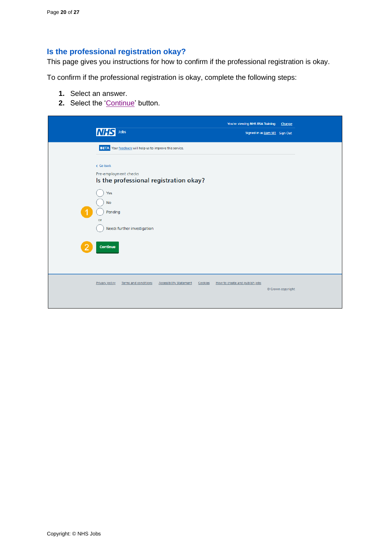## <span id="page-19-0"></span>**Is the professional registration okay?**

This page gives you instructions for how to confirm if the professional registration is okay.

To confirm if the professional registration is okay, complete the following steps:

- **1.** Select an answer.
- 2. Select the ['Continue'](#page-20-0) button.

| <b>NHS</b><br>Jobs                           |                                                                 |                                           | You're viewing NHS BSA Training<br>Signed in as Liam M1 Sign Out | Change            |
|----------------------------------------------|-----------------------------------------------------------------|-------------------------------------------|------------------------------------------------------------------|-------------------|
|                                              | <b>BETA</b> Your feedback will help us to improve this service. |                                           |                                                                  |                   |
| < Go back<br>Pre-employment checks           | Is the professional registration okay?                          |                                           |                                                                  |                   |
| Yes<br><b>No</b>                             |                                                                 |                                           |                                                                  |                   |
| Pending<br>or<br>Needs further investigation |                                                                 |                                           |                                                                  |                   |
| Continue                                     |                                                                 |                                           |                                                                  |                   |
|                                              |                                                                 |                                           |                                                                  |                   |
| Terms and conditions<br>Privacy policy       | <b>Accessibility Statement</b>                                  | How to create and publish jobs<br>Cookies |                                                                  | © Crown copyright |
|                                              |                                                                 |                                           |                                                                  |                   |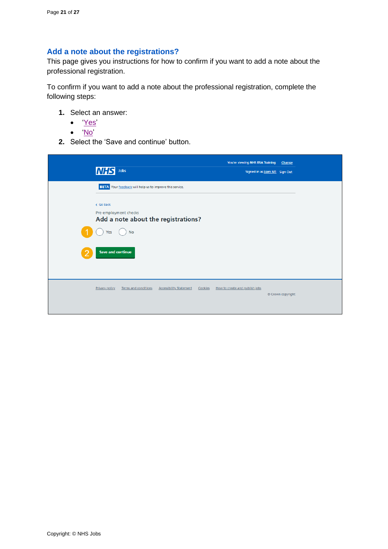## <span id="page-20-0"></span>**Add a note about the registrations?**

This page gives you instructions for how to confirm if you want to add a note about the professional registration.

To confirm if you want to add a note about the professional registration, complete the following steps:

- **1.** Select an answer:
	- ['Yes'](#page-21-0)
	- ['No'](#page-23-0)
- **2.** Select the 'Save and continue' button.

| <b>NHS</b>     | Jobs                                                         |                                |         | You're viewing NHS BSA Training<br>Signed in as Liam M1 Sign Out | Change            |  |
|----------------|--------------------------------------------------------------|--------------------------------|---------|------------------------------------------------------------------|-------------------|--|
|                | BETA Your feedback will help us to improve this service.     |                                |         |                                                                  |                   |  |
| < Go back      | Pre-employment checks<br>Add a note about the registrations? |                                |         |                                                                  |                   |  |
| Yes            | <b>No</b>                                                    |                                |         |                                                                  |                   |  |
|                | <b>Save and continue</b>                                     |                                |         |                                                                  |                   |  |
| Privacy policy | Terms and conditions                                         | <b>Accessibility Statement</b> | Cookies | How to create and publish jobs                                   | © Crown copyright |  |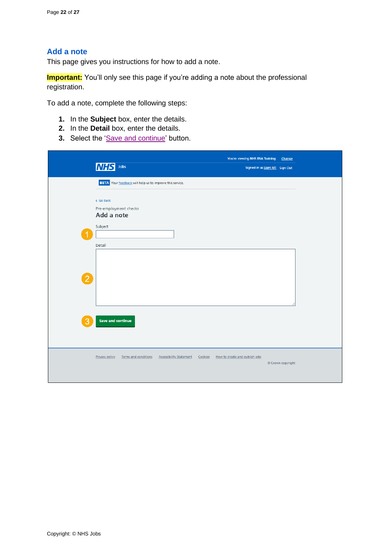### <span id="page-21-0"></span>**Add a note**

This page gives you instructions for how to add a note.

**Important:** You'll only see this page if you're adding a note about the professional registration.

To add a note, complete the following steps:

- **1.** In the **Subject** box, enter the details.
- **2.** In the **Detail** box, enter the details.
- **3.** Select the ['Save and continue'](#page-22-0) button.

| <b>NHS</b> Jobs<br>Signed in as Liam M1 Sign Out<br>BETA Your feedback will help us to improve this service.<br>< Go back<br>Pre-employment checks<br>Add a note<br>Subject |
|-----------------------------------------------------------------------------------------------------------------------------------------------------------------------------|
|                                                                                                                                                                             |
|                                                                                                                                                                             |
|                                                                                                                                                                             |
|                                                                                                                                                                             |
|                                                                                                                                                                             |
|                                                                                                                                                                             |
|                                                                                                                                                                             |
| Detail                                                                                                                                                                      |
|                                                                                                                                                                             |
|                                                                                                                                                                             |
|                                                                                                                                                                             |
| $\overline{2}$                                                                                                                                                              |
|                                                                                                                                                                             |
|                                                                                                                                                                             |
|                                                                                                                                                                             |
|                                                                                                                                                                             |
| <b>Save and continue</b><br>3                                                                                                                                               |
|                                                                                                                                                                             |
|                                                                                                                                                                             |
| <b>Accessibility Statement</b><br>How to create and publish jobs<br>Privacy policy<br>Terms and conditions<br>Cookies                                                       |
| © Crown copyright                                                                                                                                                           |
|                                                                                                                                                                             |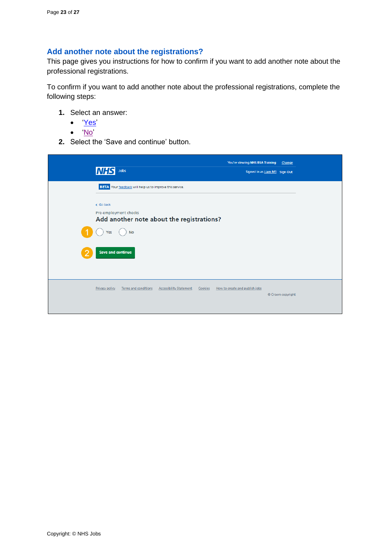## <span id="page-22-0"></span>**Add another note about the registrations?**

This page gives you instructions for how to confirm if you want to add another note about the professional registrations.

To confirm if you want to add another note about the professional registrations, complete the following steps:

- **1.** Select an answer:
	- ['Yes'](#page-21-0)
	- ['No'](#page-23-0)
- **2.** Select the 'Save and continue' button.

| Jobs<br>MH                                                                                 | You're viewing NHS BSA Training<br>Signed in as Liam M1 Sign Out | Change            |
|--------------------------------------------------------------------------------------------|------------------------------------------------------------------|-------------------|
| BETA Your feedback will help us to improve this service.                                   |                                                                  |                   |
| < Go back<br>Pre-employment checks<br>Add another note about the registrations?            |                                                                  |                   |
| <b>No</b><br>Yes                                                                           |                                                                  |                   |
| <b>Save and continue</b>                                                                   |                                                                  |                   |
| Terms and conditions<br><b>Accessibility Statement</b><br><b>Privacy policy</b><br>Cookies | How to create and publish jobs                                   | © Crown copyright |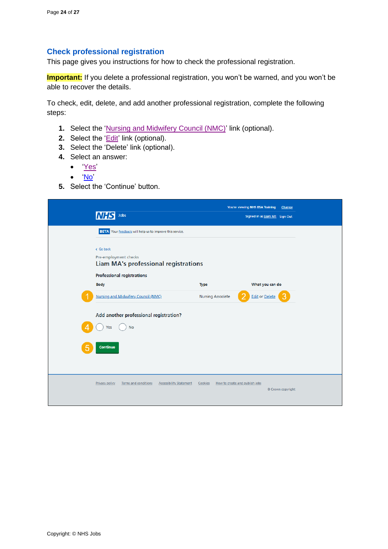#### <span id="page-23-0"></span>**Check professional registration**

This page gives you instructions for how to check the professional registration.

**Important:** If you delete a professional registration, you won't be warned, and you won't be able to recover the details.

To check, edit, delete, and add another professional registration, complete the following steps:

- **1.** Select the ['Nursing and Midwifery Council \(NMC\)'](#page-8-0) link (optional).
- **2.** Select the '*Edit'* link (optional).
- **3.** Select the 'Delete' link (optional).
- **4.** Select an answer:
	- ['Yes'](#page-9-0)
	- ['No'](#page-24-0)
- **5.** Select the 'Continue' button.

| Jobs<br><b>NHS</b>                                                                |                          | You're viewing NHS BSA Training<br>Change<br>Signed in as Liam M1 Sign Out |
|-----------------------------------------------------------------------------------|--------------------------|----------------------------------------------------------------------------|
| <b>BETA</b> Your feedback will help us to improve this service.                   |                          |                                                                            |
| < Go back<br>Pre-employment checks<br><b>Liam MA's professional registrations</b> |                          |                                                                            |
| Professional registrations<br><b>Body</b>                                         | <b>Type</b>              | What you can do                                                            |
| Nursing and Midwifery Council (NMC)                                               | <b>Nursing Associate</b> | <b>Edit or Delete</b>                                                      |
| Add another professional registration?<br><b>No</b><br>Yes                        |                          |                                                                            |
| Continue                                                                          |                          |                                                                            |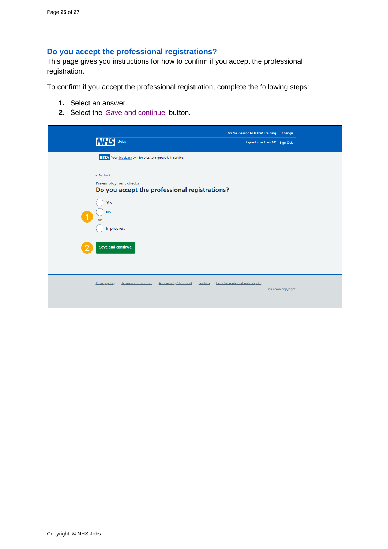## <span id="page-24-0"></span>**Do you accept the professional registrations?**

This page gives you instructions for how to confirm if you accept the professional registration.

To confirm if you accept the professional registration, complete the following steps:

- **1.** Select an answer.
- 2. Select the ['Save and continue'](#page-25-0) button.

| <b>NHS</b><br>Jobs                                                                  | You're viewing NHS BSA Training           | Change<br>Signed in as Liam M1 Sign Out |
|-------------------------------------------------------------------------------------|-------------------------------------------|-----------------------------------------|
| <b>BETA</b> Your feedback will help us to improve this service.                     |                                           |                                         |
| < Go back<br>Pre-employment checks<br>Do you accept the professional registrations? |                                           |                                         |
| Yes<br><b>No</b><br>or                                                              |                                           |                                         |
| In progress<br><b>Save and continue</b>                                             |                                           |                                         |
|                                                                                     |                                           |                                         |
| Privacy policy<br><b>Terms and conditions</b><br><b>Accessibility Statement</b>     | How to create and publish jobs<br>Cookies | © Crown copyright                       |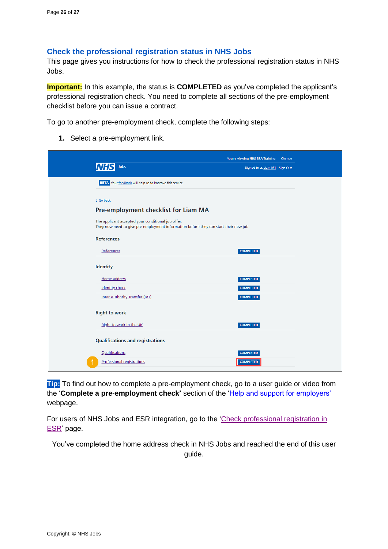#### <span id="page-25-0"></span>**Check the professional registration status in NHS Jobs**

This page gives you instructions for how to check the professional registration status in NHS Jobs.

**Important:** In this example, the status is **COMPLETED** as you've completed the applicant's professional registration check. You need to complete all sections of the pre-employment checklist before you can issue a contract.

To go to another pre-employment check, complete the following steps:

**1.** Select a pre-employment link.

|                                                                                                                                             | You're viewing NHS BSA Training<br>Change |
|---------------------------------------------------------------------------------------------------------------------------------------------|-------------------------------------------|
| Jobs                                                                                                                                        | Signed in as Liam M1 Sign Out             |
| <b>BETA</b> Your feedback will help us to improve this service.                                                                             |                                           |
| < Go back                                                                                                                                   |                                           |
| Pre-employment checklist for Liam MA                                                                                                        |                                           |
| The applicant accepted your conditional job offer.<br>They now need to give pre-employment information before they can start their new job. |                                           |
| <b>References</b>                                                                                                                           |                                           |
| References                                                                                                                                  | <b>COMPLETED</b>                          |
| <b>Identity</b>                                                                                                                             |                                           |
| Home address                                                                                                                                | <b>COMPLETED</b>                          |
| <b>Identity check</b>                                                                                                                       | <b>COMPLETED</b>                          |
| Inter Authority Transfer (IAT)                                                                                                              | <b>COMPLETED</b>                          |
| <b>Right to work</b>                                                                                                                        |                                           |
| Right to work in the UK                                                                                                                     | <b>COMPLETED</b>                          |
| <b>Qualifications and registrations</b>                                                                                                     |                                           |
| Qualifications                                                                                                                              | <b>COMPLETED</b>                          |
| <b>Professional registrations</b>                                                                                                           | <b>COMPLETED</b>                          |

**Tip:** To find out how to complete a pre-employment check, go to a user guide or video from the '**Complete a pre-employment check'** section of the ['Help and support for employers'](https://www.nhsbsa.nhs.uk/new-nhs-jobs-service/help-and-support-employers) webpage.

For users of NHS Jobs and ESR integration, go to the ['Check professional registration](#page-26-0) in [ESR'](#page-26-0) page.

You've completed the home address check in NHS Jobs and reached the end of this user

guide.